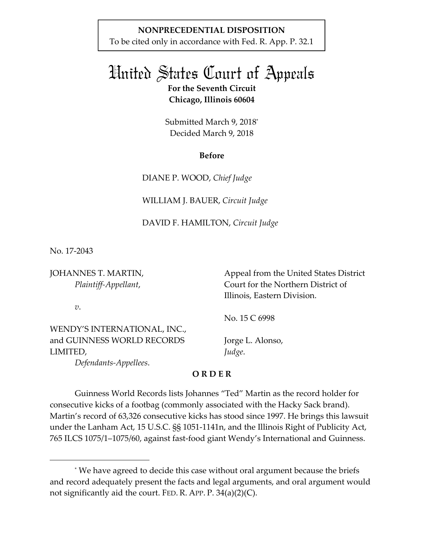## **NONPRECEDENTIAL DISPOSITION**

To be cited only in accordance with Fed. R. App. P. 32.1

# United States Court of Appeals **For the Seventh Circuit Chicago, Illinois 60604**

Submitted March 9, 2018\* Decided March 9, 2018

### **Before**

DIANE P. WOOD, *Chief Judge* 

WILLIAM J. BAUER, *Circuit Judge* 

### DAVID F. HAMILTON, *Circuit Judge*

No. 17-2043

JOHANNES T. MARTIN, *Plaintiff-Appellant*,

 Appeal from the United States District Court for the Northern District of Illinois, Eastern Division.

*v*.

-

WENDY'S INTERNATIONAL, INC., and GUINNESS WORLD RECORDS LIMITED,

No. 15 C 6998

Jorge L. Alonso, *Judge*.

 *Defendants-Appellees*.

**O R D E R** 

Guinness World Records lists Johannes "Ted" Martin as the record holder for consecutive kicks of a footbag (commonly associated with the Hacky Sack brand). Martin's record of 63,326 consecutive kicks has stood since 1997. He brings this lawsuit under the Lanham Act, 15 U.S.C. §§ 1051-1141n, and the Illinois Right of Publicity Act, 765 ILCS 1075/1–1075/60, against fast-food giant Wendy's International and Guinness.

<sup>\*</sup> We have agreed to decide this case without oral argument because the briefs and record adequately present the facts and legal arguments, and oral argument would not significantly aid the court. FED. R. APP. P. 34(a)(2)(C).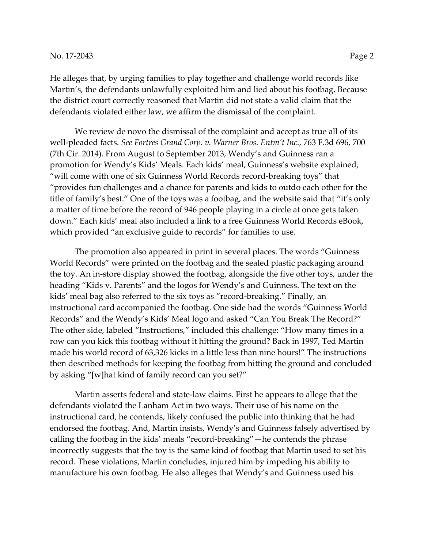He alleges that, by urging families to play together and challenge world records like Martin's, the defendants unlawfully exploited him and lied about his footbag. Because the district court correctly reasoned that Martin did not state a valid claim that the defendants violated either law, we affirm the dismissal of the complaint.

We review de novo the dismissal of the complaint and accept as true all of its well-pleaded facts. *See Fortres Grand Corp. v. Warner Bros. Entm't Inc.*, 763 F.3d 696, 700 (7th Cir. 2014). From August to September 2013, Wendy's and Guinness ran a promotion for Wendy's Kids' Meals. Each kids' meal, Guinness's website explained, "will come with one of six Guinness World Records record-breaking toys" that "provides fun challenges and a chance for parents and kids to outdo each other for the title of family's best." One of the toys was a footbag, and the website said that "it's only a matter of time before the record of 946 people playing in a circle at once gets taken down." Each kids' meal also included a link to a free Guinness World Records eBook, which provided "an exclusive guide to records" for families to use.

The promotion also appeared in print in several places. The words "Guinness World Records" were printed on the footbag and the sealed plastic packaging around the toy. An in-store display showed the footbag, alongside the five other toys, under the heading "Kids v. Parents" and the logos for Wendy's and Guinness. The text on the kids' meal bag also referred to the six toys as "record-breaking." Finally, an instructional card accompanied the footbag. One side had the words "Guinness World Records" and the Wendy's Kids' Meal logo and asked "Can You Break The Record?" The other side, labeled "Instructions," included this challenge: "How many times in a row can you kick this footbag without it hitting the ground? Back in 1997, Ted Martin made his world record of 63,326 kicks in a little less than nine hours!" The instructions then described methods for keeping the footbag from hitting the ground and concluded by asking "[w]hat kind of family record can you set?"

Martin asserts federal and state-law claims. First he appears to allege that the defendants violated the Lanham Act in two ways. Their use of his name on the instructional card, he contends, likely confused the public into thinking that he had endorsed the footbag. And, Martin insists, Wendy's and Guinness falsely advertised by calling the footbag in the kids' meals "record-breaking"—he contends the phrase incorrectly suggests that the toy is the same kind of footbag that Martin used to set his record. These violations, Martin concludes, injured him by impeding his ability to manufacture his own footbag. He also alleges that Wendy's and Guinness used his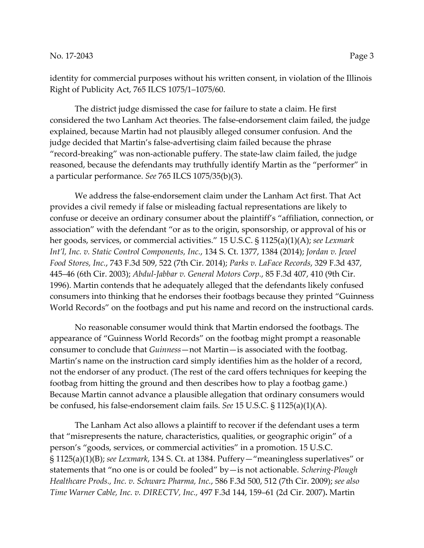identity for commercial purposes without his written consent, in violation of the Illinois Right of Publicity Act, 765 ILCS 1075/1–1075/60.

The district judge dismissed the case for failure to state a claim. He first considered the two Lanham Act theories. The false-endorsement claim failed, the judge explained, because Martin had not plausibly alleged consumer confusion. And the judge decided that Martin's false-advertising claim failed because the phrase "record-breaking" was non-actionable puffery. The state-law claim failed, the judge reasoned, because the defendants may truthfully identify Martin as the "performer" in a particular performance. *See* 765 ILCS 1075/35(b)(3).

We address the false-endorsement claim under the Lanham Act first. That Act provides a civil remedy if false or misleading factual representations are likely to confuse or deceive an ordinary consumer about the plaintiff's "affiliation, connection, or association" with the defendant "or as to the origin, sponsorship, or approval of his or her goods, services, or commercial activities." 15 U.S.C. § 1125(a)(1)(A); *see Lexmark Int'l, Inc. v. Static Control Components, Inc.*, 134 S. Ct. 1377, 1384 (2014); *Jordan v. Jewel Food Stores, Inc.*, 743 F.3d 509, 522 (7th Cir. 2014); *Parks v. LaFace Records*, 329 F.3d 437, 445–46 (6th Cir. 2003); *Abdul-Jabbar v. General Motors Corp.*, 85 F.3d 407, 410 (9th Cir. 1996). Martin contends that he adequately alleged that the defendants likely confused consumers into thinking that he endorses their footbags because they printed "Guinness World Records" on the footbags and put his name and record on the instructional cards.

No reasonable consumer would think that Martin endorsed the footbags. The appearance of "Guinness World Records" on the footbag might prompt a reasonable consumer to conclude that *Guinness*—not Martin—is associated with the footbag. Martin's name on the instruction card simply identifies him as the holder of a record, not the endorser of any product. (The rest of the card offers techniques for keeping the footbag from hitting the ground and then describes how to play a footbag game.) Because Martin cannot advance a plausible allegation that ordinary consumers would be confused, his false-endorsement claim fails. *See* 15 U.S.C. § 1125(a)(1)(A).

The Lanham Act also allows a plaintiff to recover if the defendant uses a term that "misrepresents the nature, characteristics, qualities, or geographic origin" of a person's "goods, services, or commercial activities" in a promotion. 15 U.S.C. § 1125(a)(1)(B); *see Lexmark*, 134 S. Ct. at 1384. Puffery—"meaningless superlatives" or statements that "no one is or could be fooled" by—is not actionable. *Schering-Plough Healthcare Prods., Inc. v. Schwarz Pharma, Inc.*, 586 F.3d 500, 512 (7th Cir. 2009); *see also Time Warner Cable, Inc. v. DIRECTV, Inc.,* 497 F.3d 144, 159–61 (2d Cir. 2007)**.** Martin